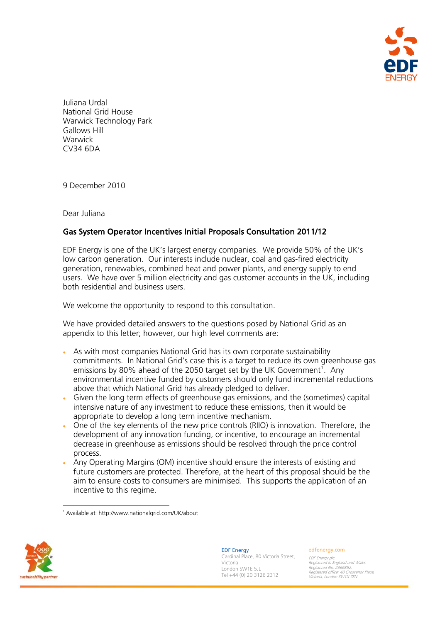

Juliana Urdal National Grid House Warwick Technology Park Gallows Hill **Warwick** CV34 6DA

9 December 2010

Dear Juliana

# Gas System Operator Incentives Initial Proposals Consultation 2011/12

EDF Energy is one of the UK's largest energy companies. We provide 50% of the UK's low carbon generation. Our interests include nuclear, coal and gas-fired electricity generation, renewables, combined heat and power plants, and energy supply to end users. We have over 5 million electricity and gas customer accounts in the UK, including both residential and business users.

We welcome the opportunity to respond to this consultation.

We have provided detailed answers to the questions posed by National Grid as an appendix to this letter; however, our high level comments are:

- As with most companies National Grid has its own corporate sustainability commitments. In National Grid's case this is a target to reduce its own greenhouse gas emissions by 80% ahead of the 2050 target set by the UK Government<sup>[1](#page-0-0)</sup>. Any environmental incentive funded by customers should only fund incremental reductions above that which National Grid has already pledged to deliver.
- Given the long term effects of greenhouse gas emissions, and the (sometimes) capital intensive nature of any investment to reduce these emissions, then it would be appropriate to develop a long term incentive mechanism.
- One of the key elements of the new price controls (RIIO) is innovation. Therefore, the development of any innovation funding, or incentive, to encourage an incremental decrease in greenhouse as emissions should be resolved through the price control process.
- Any Operating Margins (OM) incentive should ensure the interests of existing and future customers are protected. Therefore, at the heart of this proposal should be the aim to ensure costs to consumers are minimised. This supports the application of an incentive to this regime.

1 Available at: http://www.nationalgrid.com/UK/about

<span id="page-0-0"></span>

l

EDF Energy Cardinal Place, 80 Victoria Street, Victoria London SW1E 5JL Tel +44 (0) 20 3126 2312

#### edfenergy.com

EDF Energy plc. Registered in England and Wales. Registered No. 2366852. Registered office: 40 Grosvenor Place, Victoria, London SW1X 7EN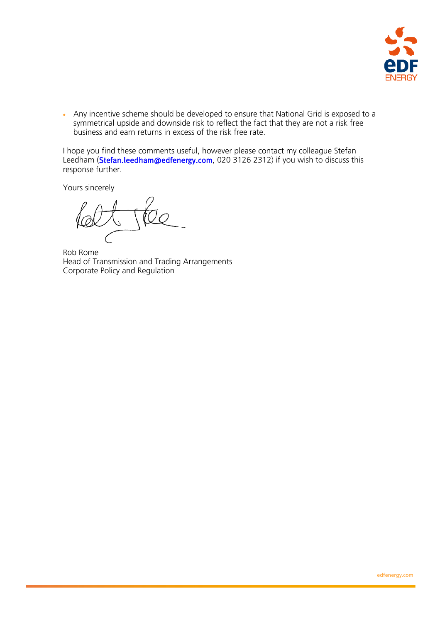

 Any incentive scheme should be developed to ensure that National Grid is exposed to a symmetrical upside and downside risk to reflect the fact that they are not a risk free business and earn returns in excess of the risk free rate.

I hope you find these comments useful, however please contact my colleague Stefan Leedham (**[Stefan.leedham@edfenergy.com](mailto:Stefan.leedham@edfenergy.com)**, 020 3126 2312) if you wish to discuss this response further.

Yours sincerely

Rob Rome Head of Transmission and Trading Arrangements Corporate Policy and Regulation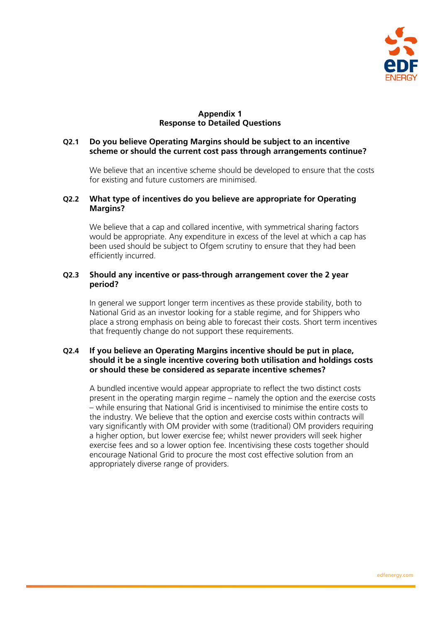

# **Appendix 1 Response to Detailed Questions**

### **Q2.1 Do you believe Operating Margins should be subject to an incentive scheme or should the current cost pass through arrangements continue?**

We believe that an incentive scheme should be developed to ensure that the costs for existing and future customers are minimised.

#### **Q2.2 What type of incentives do you believe are appropriate for Operating Margins?**

We believe that a cap and collared incentive, with symmetrical sharing factors would be appropriate. Any expenditure in excess of the level at which a cap has been used should be subject to Ofgem scrutiny to ensure that they had been efficiently incurred.

## **Q2.3 Should any incentive or pass-through arrangement cover the 2 year period?**

In general we support longer term incentives as these provide stability, both to National Grid as an investor looking for a stable regime, and for Shippers who place a strong emphasis on being able to forecast their costs. Short term incentives that frequently change do not support these requirements.

# **Q2.4 If you believe an Operating Margins incentive should be put in place, should it be a single incentive covering both utilisation and holdings costs or should these be considered as separate incentive schemes?**

A bundled incentive would appear appropriate to reflect the two distinct costs present in the operating margin regime – namely the option and the exercise costs – while ensuring that National Grid is incentivised to minimise the entire costs to the industry. We believe that the option and exercise costs within contracts will vary significantly with OM provider with some (traditional) OM providers requiring a higher option, but lower exercise fee; whilst newer providers will seek higher exercise fees and so a lower option fee. Incentivising these costs together should encourage National Grid to procure the most cost effective solution from an appropriately diverse range of providers.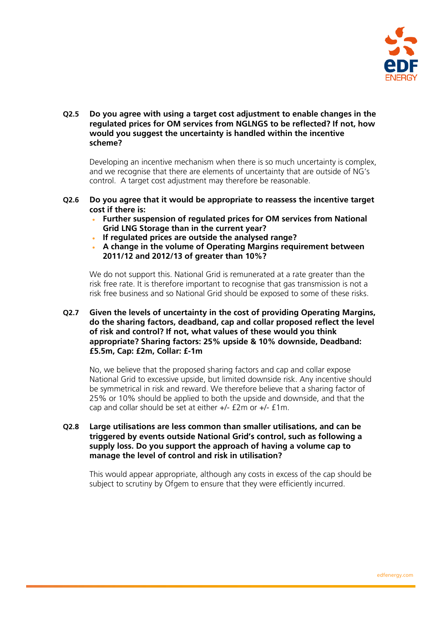

**Q2.5 Do you agree with using a target cost adjustment to enable changes in the regulated prices for OM services from NGLNGS to be reflected? If not, how would you suggest the uncertainty is handled within the incentive scheme?** 

Developing an incentive mechanism when there is so much uncertainty is complex, and we recognise that there are elements of uncertainty that are outside of NG's control. A target cost adjustment may therefore be reasonable.

- **Q2.6 Do you agree that it would be appropriate to reassess the incentive target cost if there is:** 
	- **Further suspension of regulated prices for OM services from National Grid LNG Storage than in the current year?**
	- **If regulated prices are outside the analysed range?**
	- **A change in the volume of Operating Margins requirement between 2011/12 and 2012/13 of greater than 10%?**

We do not support this. National Grid is remunerated at a rate greater than the risk free rate. It is therefore important to recognise that gas transmission is not a risk free business and so National Grid should be exposed to some of these risks.

**Q2.7 Given the levels of uncertainty in the cost of providing Operating Margins, do the sharing factors, deadband, cap and collar proposed reflect the level of risk and control? If not, what values of these would you think appropriate? Sharing factors: 25% upside & 10% downside, Deadband: £5.5m, Cap: £2m, Collar: £-1m** 

No, we believe that the proposed sharing factors and cap and collar expose National Grid to excessive upside, but limited downside risk. Any incentive should be symmetrical in risk and reward. We therefore believe that a sharing factor of 25% or 10% should be applied to both the upside and downside, and that the cap and collar should be set at either +/- £2m or +/- £1m.

**Q2.8 Large utilisations are less common than smaller utilisations, and can be triggered by events outside National Grid's control, such as following a supply loss. Do you support the approach of having a volume cap to manage the level of control and risk in utilisation?** 

This would appear appropriate, although any costs in excess of the cap should be subject to scrutiny by Ofgem to ensure that they were efficiently incurred.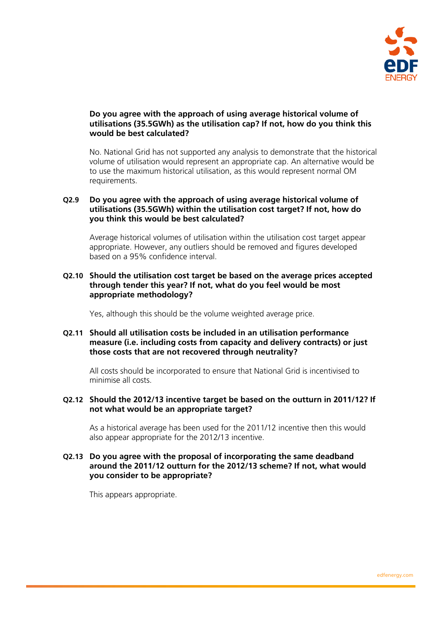

# **Do you agree with the approach of using average historical volume of utilisations (35.5GWh) as the utilisation cap? If not, how do you think this would be best calculated?**

No. National Grid has not supported any analysis to demonstrate that the historical volume of utilisation would represent an appropriate cap. An alternative would be to use the maximum historical utilisation, as this would represent normal OM requirements.

# **Q2.9 Do you agree with the approach of using average historical volume of utilisations (35.5GWh) within the utilisation cost target? If not, how do you think this would be best calculated?**

Average historical volumes of utilisation within the utilisation cost target appear appropriate. However, any outliers should be removed and figures developed based on a 95% confidence interval.

### **Q2.10 Should the utilisation cost target be based on the average prices accepted through tender this year? If not, what do you feel would be most appropriate methodology?**

Yes, although this should be the volume weighted average price.

### **Q2.11 Should all utilisation costs be included in an utilisation performance measure (i.e. including costs from capacity and delivery contracts) or just those costs that are not recovered through neutrality?**

All costs should be incorporated to ensure that National Grid is incentivised to minimise all costs.

#### **Q2.12 Should the 2012/13 incentive target be based on the outturn in 2011/12? If not what would be an appropriate target?**

As a historical average has been used for the 2011/12 incentive then this would also appear appropriate for the 2012/13 incentive.

### **Q2.13 Do you agree with the proposal of incorporating the same deadband around the 2011/12 outturn for the 2012/13 scheme? If not, what would you consider to be appropriate?**

This appears appropriate.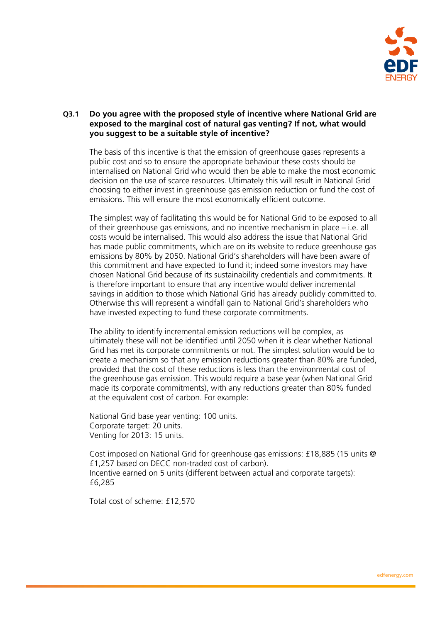

# **Q3.1 Do you agree with the proposed style of incentive where National Grid are exposed to the marginal cost of natural gas venting? If not, what would you suggest to be a suitable style of incentive?**

The basis of this incentive is that the emission of greenhouse gases represents a public cost and so to ensure the appropriate behaviour these costs should be internalised on National Grid who would then be able to make the most economic decision on the use of scarce resources. Ultimately this will result in National Grid choosing to either invest in greenhouse gas emission reduction or fund the cost of emissions. This will ensure the most economically efficient outcome.

The simplest way of facilitating this would be for National Grid to be exposed to all of their greenhouse gas emissions, and no incentive mechanism in place – i.e. all costs would be internalised. This would also address the issue that National Grid has made public commitments, which are on its website to reduce greenhouse gas emissions by 80% by 2050. National Grid's shareholders will have been aware of this commitment and have expected to fund it; indeed some investors may have chosen National Grid because of its sustainability credentials and commitments. It is therefore important to ensure that any incentive would deliver incremental savings in addition to those which National Grid has already publicly committed to. Otherwise this will represent a windfall gain to National Grid's shareholders who have invested expecting to fund these corporate commitments.

The ability to identify incremental emission reductions will be complex, as ultimately these will not be identified until 2050 when it is clear whether National Grid has met its corporate commitments or not. The simplest solution would be to create a mechanism so that any emission reductions greater than 80% are funded, provided that the cost of these reductions is less than the environmental cost of the greenhouse gas emission. This would require a base year (when National Grid made its corporate commitments), with any reductions greater than 80% funded at the equivalent cost of carbon. For example:

National Grid base year venting: 100 units. Corporate target: 20 units. Venting for 2013: 15 units.

Cost imposed on National Grid for greenhouse gas emissions: £18,885 (15 units @ £1,257 based on DECC non-traded cost of carbon). Incentive earned on 5 units (different between actual and corporate targets): £6,285

Total cost of scheme: £12,570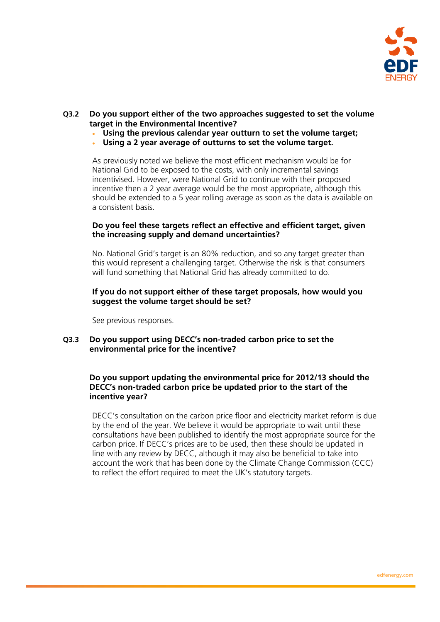

# **Q3.2 Do you support either of the two approaches suggested to set the volume target in the Environmental Incentive?**

- **Using the previous calendar year outturn to set the volume target;**
- **Using a 2 year average of outturns to set the volume target.**

As previously noted we believe the most efficient mechanism would be for National Grid to be exposed to the costs, with only incremental savings incentivised. However, were National Grid to continue with their proposed incentive then a 2 year average would be the most appropriate, although this should be extended to a 5 year rolling average as soon as the data is available on a consistent basis.

#### **Do you feel these targets reflect an effective and efficient target, given the increasing supply and demand uncertainties?**

No. National Grid's target is an 80% reduction, and so any target greater than this would represent a challenging target. Otherwise the risk is that consumers will fund something that National Grid has already committed to do.

## **If you do not support either of these target proposals, how would you suggest the volume target should be set?**

See previous responses.

#### **Q3.3 Do you support using DECC's non-traded carbon price to set the environmental price for the incentive?**

# **Do you support updating the environmental price for 2012/13 should the DECC's non-traded carbon price be updated prior to the start of the incentive year?**

DECC's consultation on the carbon price floor and electricity market reform is due by the end of the year. We believe it would be appropriate to wait until these consultations have been published to identify the most appropriate source for the carbon price. If DECC's prices are to be used, then these should be updated in line with any review by DECC, although it may also be beneficial to take into account the work that has been done by the Climate Change Commission (CCC) to reflect the effort required to meet the UK's statutory targets.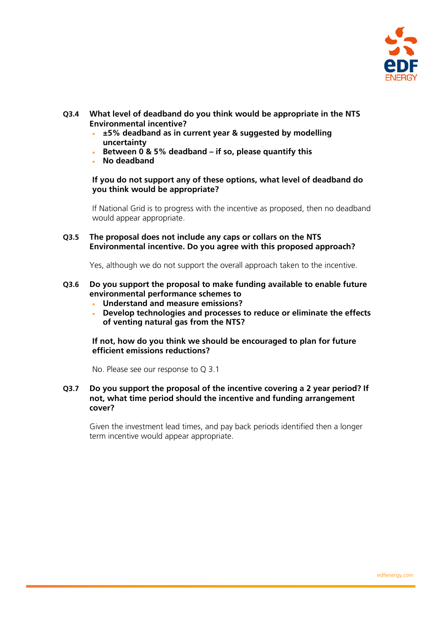

- **Q3.4 What level of deadband do you think would be appropriate in the NTS Environmental incentive?** 
	- **±5% deadband as in current year & suggested by modelling uncertainty**
	- **Between 0 & 5% deadband if so, please quantify this**
	- **No deadband**

**If you do not support any of these options, what level of deadband do you think would be appropriate?** 

If National Grid is to progress with the incentive as proposed, then no deadband would appear appropriate.

**Q3.5 The proposal does not include any caps or collars on the NTS Environmental incentive. Do you agree with this proposed approach?** 

Yes, although we do not support the overall approach taken to the incentive.

- **Q3.6 Do you support the proposal to make funding available to enable future environmental performance schemes to** 
	- **Understand and measure emissions?**
	- **Develop technologies and processes to reduce or eliminate the effects of venting natural gas from the NTS?**

**If not, how do you think we should be encouraged to plan for future efficient emissions reductions?** 

No. Please see our response to Q 3.1

**Q3.7 Do you support the proposal of the incentive covering a 2 year period? If not, what time period should the incentive and funding arrangement cover?** 

Given the investment lead times, and pay back periods identified then a longer term incentive would appear appropriate.